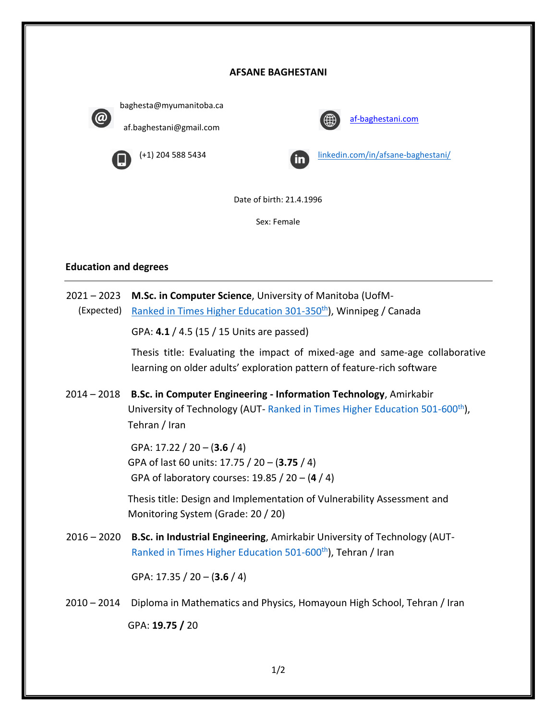## **AFSANE BAGHESTANI**



baghesta@myumanitoba.ca af.baghestani@gmail.com



[af-baghestani.com](https://www.af-baghestani.com/)



(+1) 204 588 5434 [linkedin.com/in/afsane-baghestani/](https://www.linkedin.com/in/afsane-baghestani/)

Date of birth: 21.4.1996

Sex: Female

## **Education and degrees**

2021 – 2023 **M.Sc. in Computer Science**, University of Manitoba (UofM- (Expected) [Ranked in Times Higher Education 301-350](https://www.timeshighereducation.com/world-university-rankings/university-manitoba)<sup>[th](https://www.timeshighereducation.com/world-university-rankings/university-manitoba)</sup>), Winnipeg / Canada GPA: **4.1** / 4.5 (15 / 15 Units are passed) Thesis title: Evaluating the impact of mixed-age and same-age collaborative learning on older adults' exploration pattern of feature-rich software 2014 – 2018 **B.Sc. in Computer Engineering - Information Technology**, Amirkabir University of Technology (AUT- [Ranked in Times Higher Education 501-600](https://www.timeshighereducation.com/world-university-rankings/amirkabir-university-technology)<sup>[th](https://www.timeshighereducation.com/world-university-rankings/amirkabir-university-technology)</sup>), Tehran / Iran GPA: 17.22 / 20 – (**3.6** / 4) GPA of last 60 units: 17.75 / 20 – (**3.75** / 4) GPA of laboratory courses: 19.85 / 20 – (**4** / 4) Thesis title: Design and Implementation of Vulnerability Assessment and Monitoring System (Grade: 20 / 20) 2016 – 2020 **B.Sc. in Industrial Engineering**, Amirkabir University of Technology (AUT-[Ranked in Times Higher Education 501-600](https://www.timeshighereducation.com/world-university-rankings/amirkabir-university-technology)<sup>[th](https://www.timeshighereducation.com/world-university-rankings/amirkabir-university-technology)</sup>), Tehran / Iran GPA: 17.35 / 20 – (**3.6** / 4) 2010 – 2014 Diploma in Mathematics and Physics, Homayoun High School, Tehran / Iran

GPA: **19.75 /** 20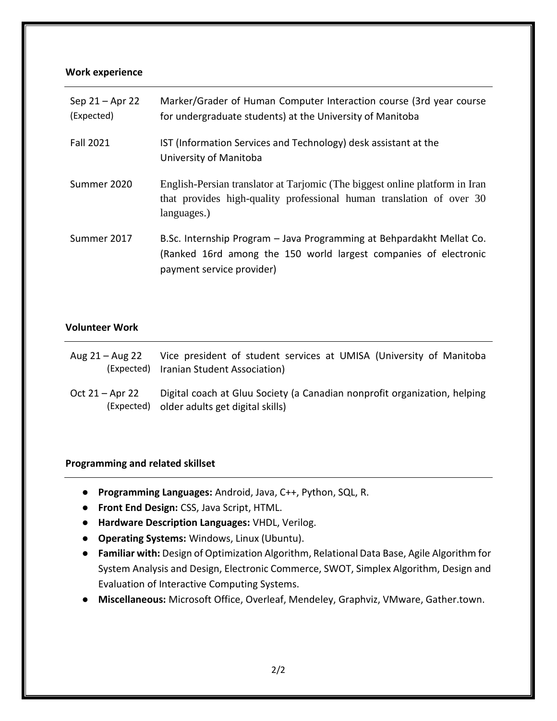# **Work experience**

| Sep 21 - Apr 22<br>(Expected) | Marker/Grader of Human Computer Interaction course (3rd year course<br>for undergraduate students) at the University of Manitoba                                       |
|-------------------------------|------------------------------------------------------------------------------------------------------------------------------------------------------------------------|
| <b>Fall 2021</b>              | IST (Information Services and Technology) desk assistant at the<br>University of Manitoba                                                                              |
| Summer 2020                   | English-Persian translator at Tarjomic (The biggest online platform in Iran<br>that provides high-quality professional human translation of over 30<br>languages.)     |
| Summer 2017                   | B.Sc. Internship Program – Java Programming at Behpardakht Mellat Co.<br>(Ranked 16rd among the 150 world largest companies of electronic<br>payment service provider) |

# **Volunteer Work**

| Aug 21 – Aug 22 | Vice president of student services at UMISA (University of Manitoba<br>(Expected) Iranian Student Association)           |
|-----------------|--------------------------------------------------------------------------------------------------------------------------|
| Oct 21 – Apr 22 | Digital coach at Gluu Society (a Canadian nonprofit organization, helping<br>(Expected) older adults get digital skills) |

# **Programming and related skillset**

- **Programming Languages:** Android, Java, C++, Python, SQL, R.
- **Front End Design:** CSS, Java Script, HTML.
- **Hardware Description Languages:** VHDL, Verilog.
- **Operating Systems:** Windows, Linux (Ubuntu).
- **Familiar with:** Design of Optimization Algorithm, Relational Data Base, Agile Algorithm for System Analysis and Design, Electronic Commerce, SWOT, Simplex Algorithm, Design and Evaluation of Interactive Computing Systems.
- **Miscellaneous:** Microsoft Office, Overleaf, Mendeley, Graphviz, VMware, Gather.town.